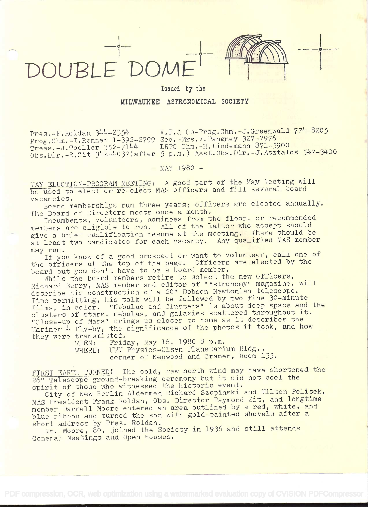

# Issued by the MILWAUKEE ASTRONOMICAL SOCIETY

Pres.-F. Roldan 344-2354 Prog.Chm.-T.Renner 1-392-2799 Sec.-Mrs.V.Tangney 327-7976 Treas.-J.Toeller 352-7144

V.P.& Co-Prog.Chm.-J.Greenwald 774-8205 LRPC Chm.-H.Lindemann 871-5900 Obs.Dir.-R.Zit 342-4037(after 5 p.m.) Asst.Obs.Dir.-J.Asztalos 547-3400

 $-$  MAY 1980  $-$ 

MAY ELECTION-PROGRAM MEETING: A good part of the May Meeting will be used to elect or re-elect MAS officers and fill several board vacancies.

Board memberships run three years; officers are elected annually. The Board of Directors meets once a month.

Incumbents, volunteers, nominees from the floor, or recommended members are eligible to run. All of the latter who accept should<br>give a brief qualification resume at the meeting. There should be at least two candidates for each vacancy. Any qualified MAS member may run.

If you know of a good prospect or want to volunteer, call one of<br>the officers at the top of the page. Officers are elected by the board but you don't have to be a board member.

While the board members retire to select the new officers, Richard Berry, MAS member and editor of "Astronomy" magazine, will describe his construction of a 20" Dobson Newtonian telescope. Time permitting, his talk will be followed by two fine 30-minute films, in color. "Nebulae and Clusters" is about deep space and the clusters of stars, nebulas, and galaxies scattered throughout it. "Close-up of Mars" brings us closer to home as it describes the Mariner  $\frac{L}{4}$  fly-by, the significance of the photos it took, and how they were transmitted.

Friday, May 16, 1980 8 p.m. WHEN: WHERE: UWM Physics-Olsen Planetarium Bldg., corner of Kenwood and Cramer, Room 133.

FIRST EARTH TURNED! The cold, raw north wind may have shortened the 26" Telescope ground-breaking ceremony but it did not cool the spirit of those who witnessed the historic event.

City of New Berlin Aldermen Richard Szopinski and Milton Pelisek, MAS President Frank Roldan, Obs. Director Raymond Zit, and longtime member Darrell Moore entered an area outlined by a red, white, and blue ribbon and turned the sod with gold-painted shovels after a short address by Pres. Roldan.

Mr. Moore, 80, joined the Society in 1936 and still attends General Meetings and Open Houses.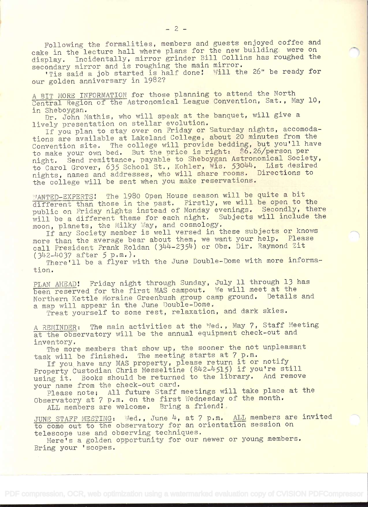Following the formalities, members and guests enjoyed coffee and cake in the lecture hall where plans for the new building were on display. Incidentally, mirror grinder Eill Collins has roughed the secondary mirror and is roughing the main mirror.

'Tis said a job started is half done! Will the 26" be ready for our golden anniversary in 1982?

A BIT MORE INFORMATION for those planning to attend the North Central Region of the Astronomical League Convention, Sat., May 10,

Dr. John Mathis, who will speak at the banquet, will give a lively presentation on stellar evolution.

If you plan to stay over on Friday or Saturday nights, accomodations are available at Lakeland College, about 20 minutes from the Convention site. The college will provide bedding, but you'll have to make your own bed. But the price is right: \$6.26/person per night. Send remittance, payable to Sheboygan Astronomical Society, night. Send remittance, payable to Sheboygan Astronomical Socioty,<br>to Carol Grover, 635 School St., Kohler, Wis. 53044. List desired nights, names and addresses, who will share rooms. Directions to the college will be sent when you make reservations.

MANTED-EXPERTS! The 1980 Open House season will be quite a bit different than those in the past. Firstly, we will be open to the public on Friday nights instead of Monday evenings. Secondly, there will be a different theme for each night. Subjects will include the moon, planets, the Milky Way, and cosmology.

If any Society member is well versed in these subjects or knows more than the average bear about them, we want your help. Please call President Frank Roldan (344-2354) or Obs. Dir. Raymond Zit<br>(342-4037 after 5 p.m.).

There'll be a flyer with the June Double-Dome with more information.

PLAN AHEAD! Friday night through Sunday, July 11 through 13 has been reserved for the first MAS campout. We will meet at the Northern Kettle Moraine Greenbush group camp ground. Details and a map will appear in the June Double-Dome.

Treat yourself to some rest, relaxation, and dark skies.

A REMINDER: The main activities at the Ved., May 7, Staff Meeting at the observatory will be the annual equipment check-out and inventory.

The more members that show up, the sooner the not unpleasant task will be finished. The meeting starts at 7 p.m.

If you have any MAS property, please return it or notify Property Custodian Chris Hesseltine (842-4515) if you're still using it. Books should be returned to the library. And remove your name from the check-out card.

Please note; All future Staff meetings will take place at the Observatory at 7 p.m. on the first Wednesday of the month. ALL members are welcome. Bring a friend!.

JUNE STAFF MEETING: Wed., June 4, at 7 p.m. ALL members are invited to come out to the observatory for an orientation session on<br>telescope use and observing techniques.

Here's a golden opportunity for our newer or young members. Bring your 'scopes.